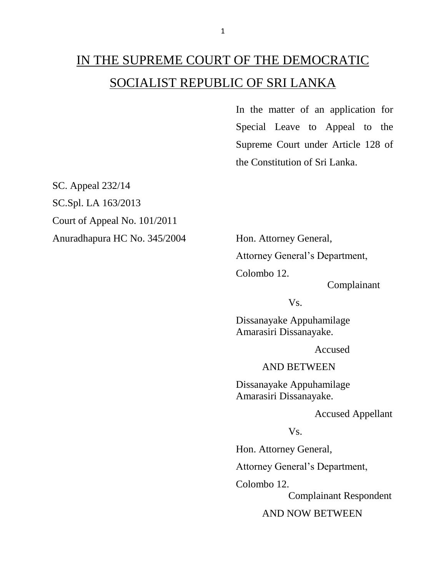## IN THE SUPREME COURT OF THE DEMOCRATIC SOCIALIST REPUBLIC OF SRI LANKA

In the matter of an application for Special Leave to Appeal to the Supreme Court under Article 128 of the Constitution of Sri Lanka.

SC. Appeal 232/14 SC.Spl. LA 163/2013 Court of Appeal No. 101/2011 Anuradhapura HC No. 345/2004 Hon. Attorney General,

Attorney General's Department,

Colombo 12.

Complainant

Vs.

Dissanayake Appuhamilage Amarasiri Dissanayake.

Accused

AND BETWEEN

Dissanayake Appuhamilage Amarasiri Dissanayake.

Accused Appellant

Vs.

Hon. Attorney General,

Attorney General's Department,

Colombo 12.

Complainant Respondent

AND NOW BETWEEN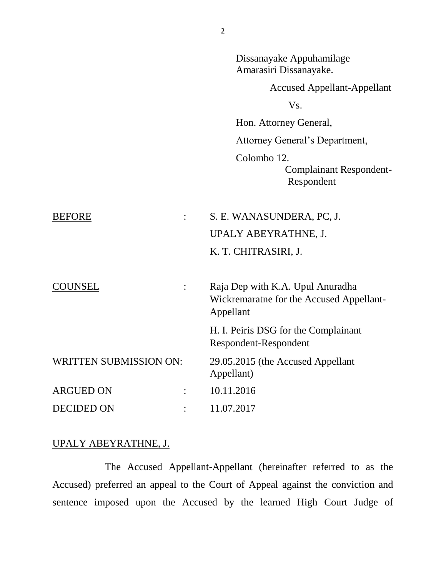|                               | Amarasiri Dissanayake.                                                                    |
|-------------------------------|-------------------------------------------------------------------------------------------|
|                               | <b>Accused Appellant-Appellant</b>                                                        |
|                               | V <sub>S</sub> .                                                                          |
|                               | Hon. Attorney General,                                                                    |
|                               | Attorney General's Department,                                                            |
|                               | Colombo 12.<br><b>Complainant Respondent-</b><br>Respondent                               |
| <b>BEFORE</b>                 | S. E. WANASUNDERA, PC, J.                                                                 |
|                               | UPALY ABEYRATHNE, J.                                                                      |
|                               | K. T. CHITRASIRI, J.                                                                      |
| COUNSEL                       | Raja Dep with K.A. Upul Anuradha<br>Wickremaratne for the Accused Appellant-<br>Appellant |
|                               | H. I. Peiris DSG for the Complainant<br>Respondent-Respondent                             |
| <b>WRITTEN SUBMISSION ON:</b> | 29.05.2015 (the Accused Appellant<br>Appellant)                                           |
| <b>ARGUED ON</b>              | 10.11.2016                                                                                |
| <b>DECIDED ON</b>             | 11.07.2017                                                                                |
|                               |                                                                                           |

## UPALY ABEYRATHNE, J.

The Accused Appellant-Appellant (hereinafter referred to as the Accused) preferred an appeal to the Court of Appeal against the conviction and sentence imposed upon the Accused by the learned High Court Judge of

Dissanayake Appuhamilage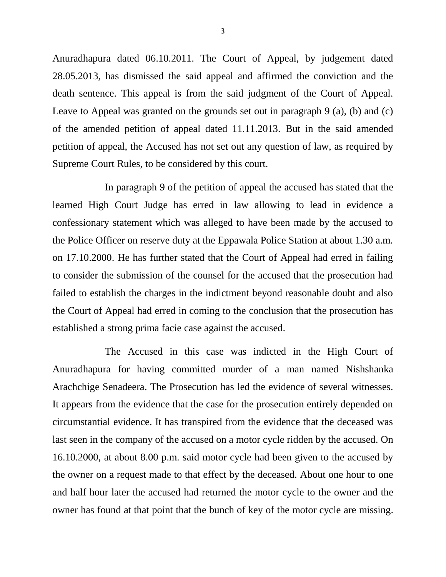Anuradhapura dated 06.10.2011. The Court of Appeal, by judgement dated 28.05.2013, has dismissed the said appeal and affirmed the conviction and the death sentence. This appeal is from the said judgment of the Court of Appeal. Leave to Appeal was granted on the grounds set out in paragraph 9 (a), (b) and (c) of the amended petition of appeal dated 11.11.2013. But in the said amended petition of appeal, the Accused has not set out any question of law, as required by Supreme Court Rules, to be considered by this court.

In paragraph 9 of the petition of appeal the accused has stated that the learned High Court Judge has erred in law allowing to lead in evidence a confessionary statement which was alleged to have been made by the accused to the Police Officer on reserve duty at the Eppawala Police Station at about 1.30 a.m. on 17.10.2000. He has further stated that the Court of Appeal had erred in failing to consider the submission of the counsel for the accused that the prosecution had failed to establish the charges in the indictment beyond reasonable doubt and also the Court of Appeal had erred in coming to the conclusion that the prosecution has established a strong prima facie case against the accused.

The Accused in this case was indicted in the High Court of Anuradhapura for having committed murder of a man named Nishshanka Arachchige Senadeera. The Prosecution has led the evidence of several witnesses. It appears from the evidence that the case for the prosecution entirely depended on circumstantial evidence. It has transpired from the evidence that the deceased was last seen in the company of the accused on a motor cycle ridden by the accused. On 16.10.2000, at about 8.00 p.m. said motor cycle had been given to the accused by the owner on a request made to that effect by the deceased. About one hour to one and half hour later the accused had returned the motor cycle to the owner and the owner has found at that point that the bunch of key of the motor cycle are missing.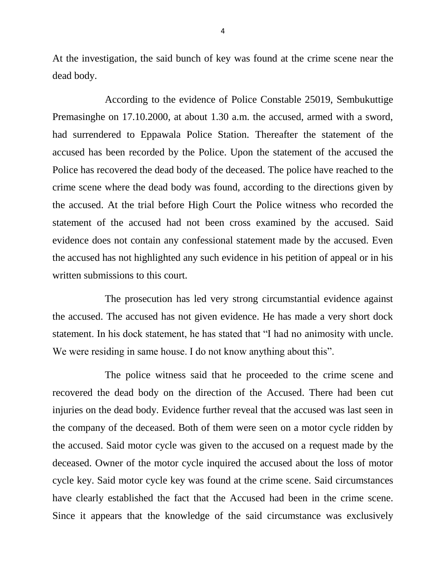At the investigation, the said bunch of key was found at the crime scene near the dead body.

According to the evidence of Police Constable 25019, Sembukuttige Premasinghe on 17.10.2000, at about 1.30 a.m. the accused, armed with a sword, had surrendered to Eppawala Police Station. Thereafter the statement of the accused has been recorded by the Police. Upon the statement of the accused the Police has recovered the dead body of the deceased. The police have reached to the crime scene where the dead body was found, according to the directions given by the accused. At the trial before High Court the Police witness who recorded the statement of the accused had not been cross examined by the accused. Said evidence does not contain any confessional statement made by the accused. Even the accused has not highlighted any such evidence in his petition of appeal or in his written submissions to this court.

The prosecution has led very strong circumstantial evidence against the accused. The accused has not given evidence. He has made a very short dock statement. In his dock statement, he has stated that "I had no animosity with uncle. We were residing in same house. I do not know anything about this".

The police witness said that he proceeded to the crime scene and recovered the dead body on the direction of the Accused. There had been cut injuries on the dead body. Evidence further reveal that the accused was last seen in the company of the deceased. Both of them were seen on a motor cycle ridden by the accused. Said motor cycle was given to the accused on a request made by the deceased. Owner of the motor cycle inquired the accused about the loss of motor cycle key. Said motor cycle key was found at the crime scene. Said circumstances have clearly established the fact that the Accused had been in the crime scene. Since it appears that the knowledge of the said circumstance was exclusively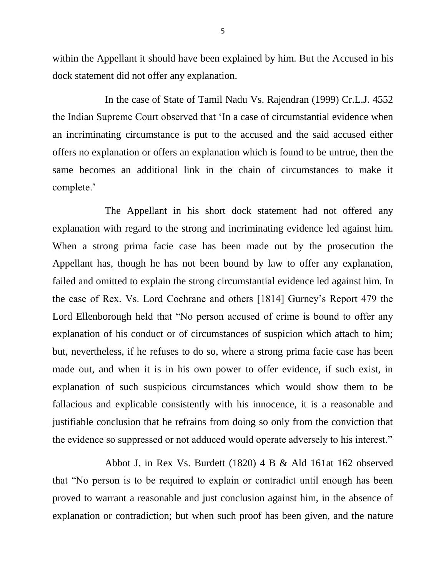within the Appellant it should have been explained by him. But the Accused in his dock statement did not offer any explanation.

In the case of State of Tamil Nadu Vs. Rajendran (1999) Cr.L.J. 4552 the Indian Supreme Court observed that 'In a case of circumstantial evidence when an incriminating circumstance is put to the accused and the said accused either offers no explanation or offers an explanation which is found to be untrue, then the same becomes an additional link in the chain of circumstances to make it complete.'

The Appellant in his short dock statement had not offered any explanation with regard to the strong and incriminating evidence led against him. When a strong prima facie case has been made out by the prosecution the Appellant has, though he has not been bound by law to offer any explanation, failed and omitted to explain the strong circumstantial evidence led against him. In the case of Rex. Vs. Lord Cochrane and others [1814] Gurney's Report 479 the Lord Ellenborough held that "No person accused of crime is bound to offer any explanation of his conduct or of circumstances of suspicion which attach to him; but, nevertheless, if he refuses to do so, where a strong prima facie case has been made out, and when it is in his own power to offer evidence, if such exist, in explanation of such suspicious circumstances which would show them to be fallacious and explicable consistently with his innocence, it is a reasonable and justifiable conclusion that he refrains from doing so only from the conviction that the evidence so suppressed or not adduced would operate adversely to his interest."

Abbot J. in Rex Vs. Burdett (1820) 4 B & Ald 161at 162 observed that "No person is to be required to explain or contradict until enough has been proved to warrant a reasonable and just conclusion against him, in the absence of explanation or contradiction; but when such proof has been given, and the nature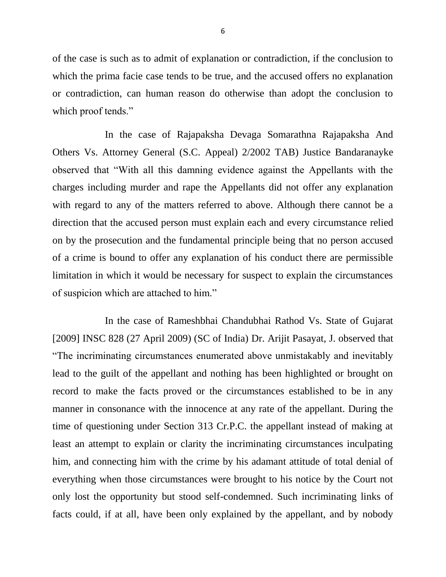of the case is such as to admit of explanation or contradiction, if the conclusion to which the prima facie case tends to be true, and the accused offers no explanation or contradiction, can human reason do otherwise than adopt the conclusion to which proof tends."

In the case of Rajapaksha Devaga Somarathna Rajapaksha And Others Vs. Attorney General (S.C. Appeal) 2/2002 TAB) Justice Bandaranayke observed that "With all this damning evidence against the Appellants with the charges including murder and rape the Appellants did not offer any explanation with regard to any of the matters referred to above. Although there cannot be a direction that the accused person must explain each and every circumstance relied on by the prosecution and the fundamental principle being that no person accused of a crime is bound to offer any explanation of his conduct there are permissible limitation in which it would be necessary for suspect to explain the circumstances of suspicion which are attached to him."

In the case of Rameshbhai Chandubhai Rathod Vs. State of Gujarat [2009] INSC 828 (27 April 2009) (SC of India) Dr. Arijit Pasayat, J. observed that "The incriminating circumstances enumerated above unmistakably and inevitably lead to the guilt of the appellant and nothing has been highlighted or brought on record to make the facts proved or the circumstances established to be in any manner in consonance with the innocence at any rate of the appellant. During the time of questioning under Section 313 Cr.P.C. the appellant instead of making at least an attempt to explain or clarity the incriminating circumstances inculpating him, and connecting him with the crime by his adamant attitude of total denial of everything when those circumstances were brought to his notice by the Court not only lost the opportunity but stood self-condemned. Such incriminating links of facts could, if at all, have been only explained by the appellant, and by nobody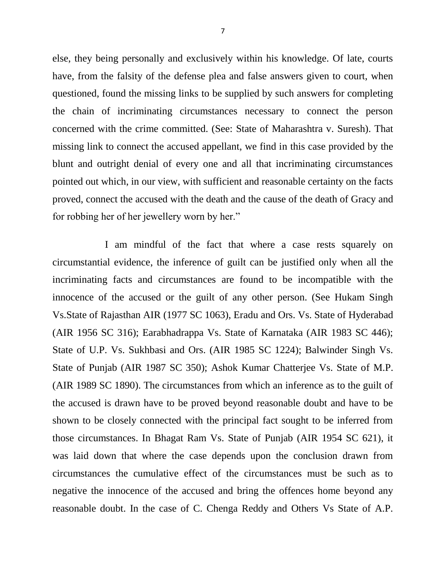else, they being personally and exclusively within his knowledge. Of late, courts have, from the falsity of the defense plea and false answers given to court, when questioned, found the missing links to be supplied by such answers for completing the chain of incriminating circumstances necessary to connect the person concerned with the crime committed. (See: State of Maharashtra v. Suresh). That missing link to connect the accused appellant, we find in this case provided by the blunt and outright denial of every one and all that incriminating circumstances pointed out which, in our view, with sufficient and reasonable certainty on the facts proved, connect the accused with the death and the cause of the death of Gracy and for robbing her of her jewellery worn by her."

I am mindful of the fact that where a case rests squarely on circumstantial evidence, the inference of guilt can be justified only when all the incriminating facts and circumstances are found to be incompatible with the innocence of the accused or the guilt of any other person. (See Hukam Singh Vs.State of Rajasthan AIR (1977 SC 1063), Eradu and Ors. Vs. State of Hyderabad (AIR 1956 SC 316); Earabhadrappa Vs. State of Karnataka (AIR 1983 SC 446); State of U.P. Vs. Sukhbasi and Ors. (AIR 1985 SC 1224); Balwinder Singh Vs. State of Punjab (AIR 1987 SC 350); Ashok Kumar Chatterjee Vs. State of M.P. (AIR 1989 SC 1890). The circumstances from which an inference as to the guilt of the accused is drawn have to be proved beyond reasonable doubt and have to be shown to be closely connected with the principal fact sought to be inferred from those circumstances. In Bhagat Ram Vs. State of Punjab (AIR 1954 SC 621), it was laid down that where the case depends upon the conclusion drawn from circumstances the cumulative effect of the circumstances must be such as to negative the innocence of the accused and bring the offences home beyond any reasonable doubt. In the case of C. Chenga Reddy and Others Vs State of A.P.